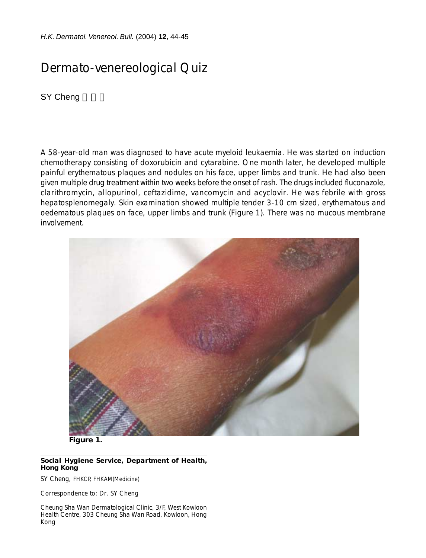*H.K. Dermatol. Venereol. Bull.* (2004) **12**, 44-45

## Dermato-venereological Quiz

SY Cheng

A 58-year-old man was diagnosed to have acute myeloid leukaemia. He was started on induction chemotherapy consisting of doxorubicin and cytarabine. One month later, he developed multiple painful erythematous plaques and nodules on his face, upper limbs and trunk. He had also been given multiple drug treatment within two weeks before the onset of rash. The drugs included fluconazole, clarithromycin, allopurinol, ceftazidime, vancomycin and acyclovir. He was febrile with gross hepatosplenomegaly. Skin examination showed multiple tender 3-10 cm sized, erythematous and oedematous plaques on face, upper limbs and trunk (Figure 1). There was no mucous membrane involvement.



**Figure 1.**

## **Social Hygiene Service, Department of Health, Hong Kong**

SY Cheng, FHKCP, FHKAM(Medicine)

Correspondence to: Dr. SY Cheng

Cheung Sha Wan Dermatological Clinic, 3/F, West Kowloon Health Centre, 303 Cheung Sha Wan Road, Kowloon, Hong Kong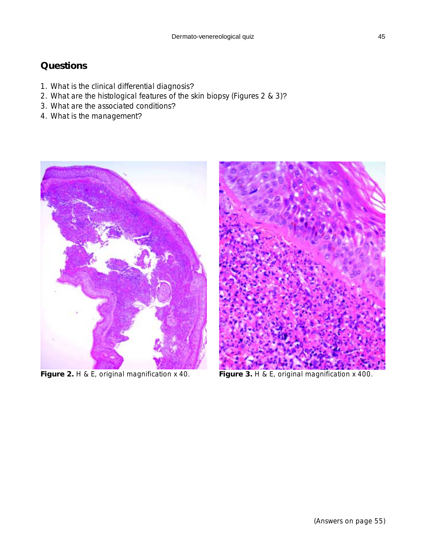## **Questions**

- 1. What is the clinical differential diagnosis?
- 2. What are the histological features of the skin biopsy (Figures 2 & 3)?
- 3. What are the associated conditions?
- 4. What is the management?



Figure 2. H & E, original magnification x 40. **Figure 3.** H & E, original magnification x 400.